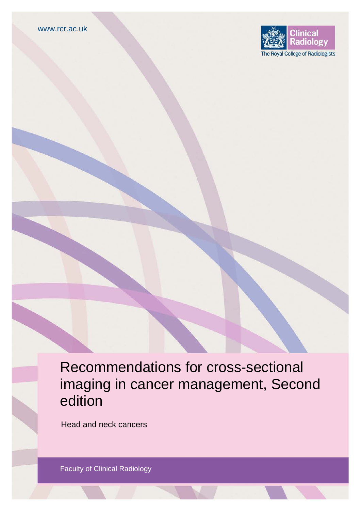

Recommendations for cross-sectional imaging in cancer management, Second edition

Head and neck cancers

Faculty of Clinical Radiology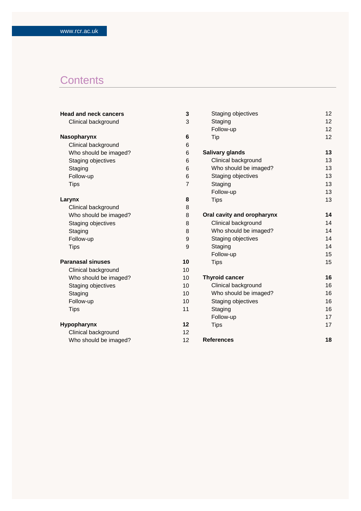# **Contents**

| <b>Head and neck cancers</b> | 3              | Staging objectives         | 12 |
|------------------------------|----------------|----------------------------|----|
| Clinical background          | 3              | Staging                    | 12 |
|                              |                | Follow-up                  | 12 |
| Nasopharynx                  | 6              | Tip                        | 12 |
| Clinical background          | 6              |                            |    |
| Who should be imaged?        | 6              | <b>Salivary glands</b>     | 13 |
| Staging objectives           | 6              | Clinical background        | 13 |
| Staging                      | 6              | Who should be imaged?      | 13 |
| Follow-up                    | 6              | Staging objectives         | 13 |
| <b>Tips</b>                  | $\overline{7}$ | Staging                    | 13 |
|                              |                | Follow-up                  | 13 |
| Larynx                       | 8              | <b>Tips</b>                | 13 |
| Clinical background          | 8              |                            |    |
| Who should be imaged?        | 8              | Oral cavity and oropharynx | 14 |
| Staging objectives           | 8              | Clinical background        | 14 |
| Staging                      | 8              | Who should be imaged?      | 14 |
| Follow-up                    | 9              | Staging objectives         | 14 |
| <b>Tips</b>                  | 9              | Staging                    | 14 |
|                              |                | Follow-up                  | 15 |
| <b>Paranasal sinuses</b>     | 10             | <b>Tips</b>                | 15 |
| Clinical background          | 10             |                            |    |
| Who should be imaged?        | 10             | <b>Thyroid cancer</b>      | 16 |
| Staging objectives           | 10             | Clinical background        | 16 |
| Staging                      | 10             | Who should be imaged?      |    |
| Follow-up                    | 10             | Staging objectives         | 16 |
| <b>Tips</b>                  | 11             | Staging                    | 16 |
|                              |                | Follow-up                  | 17 |
| Hypopharynx                  | 12             | <b>Tips</b>                | 17 |
| Clinical background          | 12             |                            |    |
| Who should be imaged?        | 12             | <b>References</b>          | 18 |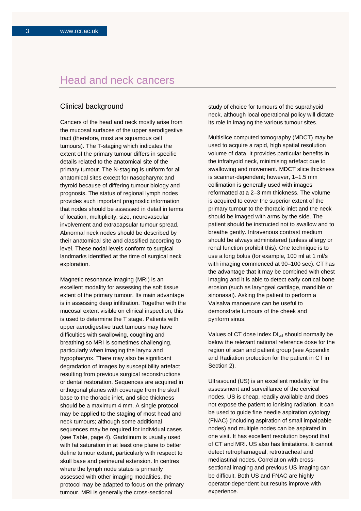## Head and neck cancers

## Clinical background

Cancers of the head and neck mostly arise from the mucosal surfaces of the upper aerodigestive tract (therefore, most are squamous cell tumours). The T-staging which indicates the extent of the primary tumour differs in specific details related to the anatomical site of the primary tumour. The N-staging is uniform for all anatomical sites except for nasopharynx and thyroid because of differing tumour biology and prognosis. The status of regional lymph nodes provides such important prognostic information that nodes should be assessed in detail in terms of location, multiplicity, size, neurovascular involvement and extracapsular tumour spread. Abnormal neck nodes should be described by their anatomical site and classified according to level. These nodal levels conform to surgical landmarks identified at the time of surgical neck exploration.

Magnetic resonance imaging (MRI) is an excellent modality for assessing the soft tissue extent of the primary tumour. Its main advantage is in assessing deep infiltration. Together with the mucosal extent visible on clinical inspection, this is used to determine the T stage. Patients with upper aerodigestive tract tumours may have difficulties with swallowing, coughing and breathing so MRI is sometimes challenging, particularly when imaging the larynx and hypopharynx. There may also be significant degradation of images by susceptibility artefact resulting from previous surgical reconstructions or dental restoration. Sequences are acquired in orthogonal planes with coverage from the skull base to the thoracic inlet, and slice thickness should be a maximum 4 mm. A single protocol may be applied to the staging of most head and neck tumours; although some additional sequences may be required for individual cases (see Table, page 4). Gadolinum is usually used with fat saturation in at least one plane to better define tumour extent, particularly with respect to skull base and perineural extension. In centres where the lymph node status is primarily assessed with other imaging modalities, the protocol may be adapted to focus on the primary tumour. MRI is generally the cross-sectional

study of choice for tumours of the suprahyoid neck, although local operational policy will dictate its role in imaging the various tumour sites.

Multislice computed tomography (MDCT) may be used to acquire a rapid, high spatial resolution volume of data. It provides particular benefits in the infrahyoid neck, minimising artefact due to swallowing and movement. MDCT slice thickness is scanner-dependent; however, 1–1.5 mm collimation is generally used with images reformatted at a 2–3 mm thickness. The volume is acquired to cover the superior extent of the primary tumour to the thoracic inlet and the neck should be imaged with arms by the side. The patient should be instructed not to swallow and to breathe gently. Intravenous contrast medium should be always administered (unless allergy or renal function prohibit this). One technique is to use a long bolus (for example, 100 ml at 1 ml/s with imaging commenced at 90–100 sec). CT has the advantage that it may be combined with chest imaging and it is able to detect early cortical bone erosion (such as laryngeal cartilage, mandible or sinonasal). Asking the patient to perform a Valsalva manoeuvre can be useful to demonstrate tumours of the cheek and pyriform sinus.

Values of CT dose index  $DI_{vol}$  should normally be below the relevant national reference dose for the region of scan and patient group (see Appendix and Radiation protection for the patient in CT in Section 2).

Ultrasound (US) is an excellent modality for the assessment and surveillance of the cervical nodes. US is cheap, readily available and does not expose the patient to ionising radiation. It can be used to guide fine needle aspiration cytology (FNAC) (including aspiration of small impalpable nodes) and multiple nodes can be aspirated in one visit. It has excellent resolution beyond that of CT and MRI. US also has limitations. It cannot detect retropharnageal, retrotracheal and mediastinal nodes. Correlation with crosssectional imaging and previous US imaging can be difficult. Both US and FNAC are highly operator-dependent but results improve with experience.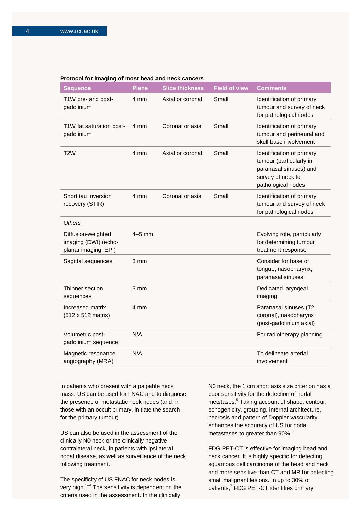#### **Protocol for imaging of most head and neck cancers**

| <b>Sequence</b>                                                    | <b>Plane</b>     | <b>Slice thickness</b> | <b>Field of view</b> | <b>Comments</b>                                                                                                            |
|--------------------------------------------------------------------|------------------|------------------------|----------------------|----------------------------------------------------------------------------------------------------------------------------|
| T1W pre- and post-<br>gadolinium                                   | 4 mm             | Axial or coronal       | Small                | Identification of primary<br>tumour and survey of neck<br>for pathological nodes                                           |
| T1W fat saturation post-<br>gadolinium                             | 4 mm             | Coronal or axial       | Small                | Identification of primary<br>tumour and perineural and<br>skull base involvement                                           |
| T <sub>2</sub> W                                                   | 4 mm             | Axial or coronal       | Small                | Identification of primary<br>tumour (particularly in<br>paranasal sinuses) and<br>survey of neck for<br>pathological nodes |
| Short tau inversion<br>recovery (STIR)                             | 4 mm             | Coronal or axial       | Small                | Identification of primary<br>tumour and survey of neck<br>for pathological nodes                                           |
| <b>Others</b>                                                      |                  |                        |                      |                                                                                                                            |
| Diffusion-weighted<br>imaging (DWI) (echo-<br>planar imaging, EPI) | $4-5$ mm         |                        |                      | Evolving role, particularly<br>for determining tumour<br>treatment response                                                |
| Sagittal sequences                                                 | 3 mm             |                        |                      | Consider for base of<br>tongue, nasopharynx,<br>paranasal sinuses                                                          |
| Thinner section<br>sequences                                       | $3 \, \text{mm}$ |                        |                      | Dedicated laryngeal<br>imaging                                                                                             |
| Increased matrix<br>(512 x 512 matrix)                             | 4 mm             |                        |                      | Paranasal sinuses (T2<br>coronal), nasopharynx<br>(post-gadolinium axial)                                                  |
| Volumetric post-<br>gadolinium sequence                            | N/A              |                        |                      | For radiotherapy planning                                                                                                  |
| Magnetic resonance<br>angiography (MRA)                            | N/A              |                        |                      | To delineate arterial<br>involvement                                                                                       |

In patients who present with a palpable neck mass, US can be used for FNAC and to diagnose the presence of metastatic neck nodes (and, in those with an occult primary, initiate the search for the primary tumour).

US can also be used in the assessment of the clinically N0 neck or the clinically negative contralateral neck, in patients with ipsilateral nodal disease, as well as surveillance of the neck following treatment.

The specificity of US FNAC for neck nodes is very high.<sup>1–4</sup> The sensitivity is dependent on the criteria used in the assessment. In the clinically

N0 neck, the 1 cm short axis size criterion has a poor sensitivity for the detection of nodal metstases.<sup>5</sup> Taking account of shape, contour, echogenicity, grouping, internal architecture, necrosis and pattern of Doppler vascularity enhances the accuracy of US for nodal metastases to greater than 90%.<sup>6</sup>

FDG PET-CT is effective for imaging head and neck cancer. It is highly specific for detecting squamous cell carcinoma of the head and neck and more sensitive than CT and MR for detecting small malignant lesions. In up to 30% of patients,<sup>7</sup> FDG PET-CT identifies primary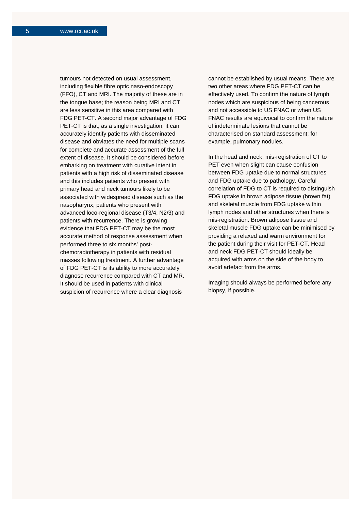tumours not detected on usual assessment, including flexible fibre optic naso-endoscopy (FFO), CT and MRI. The majority of these are in the tongue base; the reason being MRI and CT are less sensitive in this area compared with FDG PET-CT. A second major advantage of FDG PET-CT is that, as a single investigation, it can accurately identify patients with disseminated disease and obviates the need for multiple scans for complete and accurate assessment of the full extent of disease. It should be considered before embarking on treatment with curative intent in patients with a high risk of disseminated disease and this includes patients who present with primary head and neck tumours likely to be associated with widespread disease such as the nasopharynx, patients who present with advanced loco-regional disease (T3/4, N2/3) and patients with recurrence. There is growing evidence that FDG PET-CT may be the most accurate method of response assessment when performed three to six months' postchemoradiotherapy in patients with residual masses following treatment. A further advantage of FDG PET-CT is its ability to more accurately diagnose recurrence compared with CT and MR. It should be used in patients with clinical suspicion of recurrence where a clear diagnosis

cannot be established by usual means. There are two other areas where FDG PET-CT can be effectively used. To confirm the nature of lymph nodes which are suspicious of being cancerous and not accessible to US FNAC or when US FNAC results are equivocal to confirm the nature of indeterminate lesions that cannot be characterised on standard assessment; for example, pulmonary nodules.

In the head and neck, mis-registration of CT to PET even when slight can cause confusion between FDG uptake due to normal structures and FDG uptake due to pathology. Careful correlation of FDG to CT is required to distinguish FDG uptake in brown adipose tissue (brown fat) and skeletal muscle from FDG uptake within lymph nodes and other structures when there is mis-registration. Brown adipose tissue and skeletal muscle FDG uptake can be minimised by providing a relaxed and warm environment for the patient during their visit for PET-CT. Head and neck FDG PET-CT should ideally be acquired with arms on the side of the body to avoid artefact from the arms.

Imaging should always be performed before any biopsy, if possible.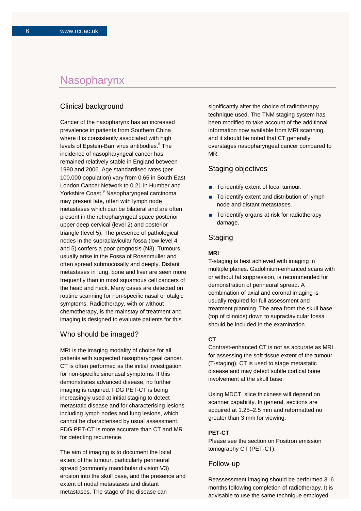## **Nasopharynx**

## Clinical background

Cancer of the nasopharynx has an increased prevalence in patients from Southern China where it is consistently associated with high levels of Epstein-Barr virus antibodies.<sup>8</sup> The incidence of nasopharyngeal cancer has remained relatively stable in England between 1990 and 2006. Age standardised rates (per 100,000 population) vary from 0.65 in South East London Cancer Network to 0.21 in Humber and Yorkshire Coast.<sup>9</sup> Nasopharyngeal carcinoma may present late, often with lymph node metastases which can be bilateral and are often present in the retropharyngeal space posterior upper deep cervical (level 2) and posterior triangle (level 5). The presence of pathological nodes in the supraclavicular fossa (low level 4 and 5) confers a poor prognosis (N3). Tumours usually arise in the Fossa of Rosenmuller and often spread submucosally and deeply. Distant metastases in lung, bone and liver are seen more frequently than in most squamous cell cancers of the head and neck. Many cases are detected on routine scanning for non-specific nasal or otalgic symptoms. Radiotherapy, with or without chemotherapy, is the mainstay of treatment and imaging is designed to evaluate patients for this.

#### Who should be imaged?

MRI is the imaging modality of choice for all patients with suspected nasopharyngeal cancer. CT is often performed as the initial investigation for non-specific sinonasal symptoms. If this demonstrates advanced disease, no further imaging is required. FDG PET-CT is being increasingly used at initial staging to detect metastatic disease and for characterising lesions including lymph nodes and lung lesions, which cannot be characterised by usual assessment. FDG PET-CT is more accurate than CT and MR for detecting recurrence.

The aim of imaging is to document the local extent of the tumour, particularly perineural spread (commonly mandibular division V3) erosion into the skull base, and the presence and extent of nodal metastases and distant metastases. The stage of the disease can

significantly alter the choice of radiotherapy technique used. The TNM staging system has been modified to take account of the additional information now available from MRI scanning, and it should be noted that CT generally overstages nasopharyngeal cancer compared to MR.

### Staging objectives

- To identify extent of local tumour.
- To identify extent and distribution of lymph node and distant metastases.
- To identify organs at risk for radiotherapy damage.

## **Staging**

#### **MRI**

T-staging is best achieved with imaging in multiple planes. Gadolinium-enhanced scans with or without fat suppression, is recommended for demonstration of perineural spread. A combination of axial and coronal imaging is usually required for full assessment and treatment planning. The area from the skull base (top of clinoids) down to supraclavicular fossa should be included in the examination.

#### **CT**

Contrast-enhanced CT is not as accurate as MRI for assessing the soft tissue extent of the tumour (T-staging). CT is used to stage metastatic disease and may detect subtle cortical bone involvement at the skull base.

Using MDCT, slice thickness will depend on scanner capability. In general, sections are acquired at 1.25–2.5 mm and reformatted no greater than 3 mm for viewing.

#### **PET-CT**

Please see the section on Positron emission tomography CT (PET-CT).

#### Follow-up

Reassessment imaging should be performed 3–6 months following completion of radiotherapy. It is advisable to use the same technique employed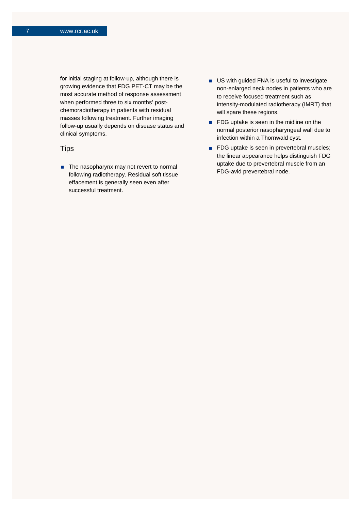for initial staging at follow-up, although there is growing evidence that FDG PET-CT may be the most accurate method of response assessment when performed three to six months' postchemoradiotherapy in patients with residual masses following treatment. Further imaging follow-up usually depends on disease status and clinical symptoms.

## **Tips**

■ The nasopharynx may not revert to normal following radiotherapy. Residual soft tissue effacement is generally seen even after successful treatment.

- **US** with guided FNA is useful to investigate non-enlarged neck nodes in patients who are to receive focused treatment such as intensity-modulated radiotherapy (IMRT) that will spare these regions.
- **FDG** uptake is seen in the midline on the normal posterior nasopharyngeal wall due to infection within a Thornwald cyst.
- **FDG** uptake is seen in prevertebral muscles; the linear appearance helps distinguish FDG uptake due to prevertebral muscle from an FDG-avid prevertebral node.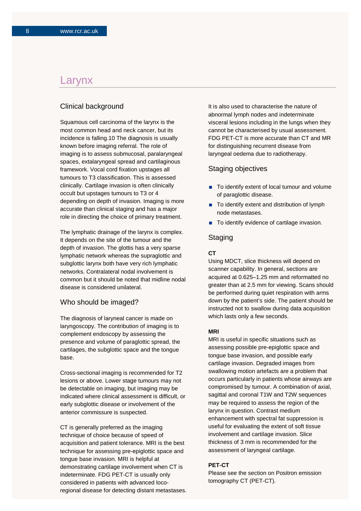## Larynx

## Clinical background

Squamous cell carcinoma of the larynx is the most common head and neck cancer, but its incidence is falling.10 The diagnosis is usually known before imaging referral. The role of imaging is to assess submucosal, paralaryngeal spaces, extalaryngeal spread and cartilaginous framework. Vocal cord fixation upstages all tumours to T3 classification. This is assessed clinically. Cartilage invasion is often clinically occult but upstages tumours to T3 or 4 depending on depth of invasion. Imaging is more accurate than clinical staging and has a major role in directing the choice of primary treatment.

The lymphatic drainage of the larynx is complex. It depends on the site of the tumour and the depth of invasion. The glottis has a very sparse lymphatic network whereas the supraglottic and subglottic larynx both have very rich lymphatic networks. Contralateral nodal involvement is common but it should be noted that midline nodal disease is considered unilateral.

### Who should be imaged?

The diagnosis of laryneal cancer is made on laryngoscopy. The contribution of imaging is to complement endoscopy by assessing the presence and volume of paraglottic spread, the cartilages, the subglottic space and the tongue base.

Cross-sectional imaging is recommended for T2 lesions or above. Lower stage tumours may not be detectable on imaging, but imaging may be indicated where clinical assessment is difficult, or early subglottic disease or involvement of the anterior commissure is suspected.

CT is generally preferred as the imaging technique of choice because of speed of acquisition and patient tolerance. MRI is the best technique for assessing pre-epiglottic space and tongue base invasion. MRI is helpful at demonstrating cartilage involvement when CT is indeterminate. FDG PET-CT is usually only considered in patients with advanced locoregional disease for detecting distant metastases. It is also used to characterise the nature of abnormal lymph nodes and indeterminate visceral lesions including in the lungs when they cannot be characterised by usual assessment. FDG PET-CT is more accurate than CT and MR for distinguishing recurrent disease from laryngeal oedema due to radiotherapy.

#### Staging objectives

- To identify extent of local tumour and volume of paraglottic disease.
- To identify extent and distribution of lymph node metastases.
- To identify evidence of cartilage invasion.

## **Staging**

#### **CT**

Using MDCT, slice thickness will depend on scanner capability. In general, sections are acquired at 0.625–1.25 mm and reformatted no greater than at 2.5 mm for viewing. Scans should be performed during quiet respiration with arms down by the patient's side. The patient should be instructed not to swallow during data acquisition which lasts only a few seconds.

#### **MRI**

MRI is useful in specific situations such as assessing possible pre-epiglottic space and tongue base invasion, and possible early cartilage invasion. Degraded images from swallowing motion artefacts are a problem that occurs particularly in patients whose airways are compromised by tumour. A combination of axial, sagittal and coronal T1W and T2W sequences may be required to assess the region of the larynx in question. Contrast medium enhancement with spectral fat suppression is useful for evaluating the extent of soft tissue involvement and cartilage invasion. Slice thickness of 3 mm is recommended for the assessment of laryngeal cartilage.

#### **PET-CT**

Please see the section on Positron emission tomography CT (PET-CT).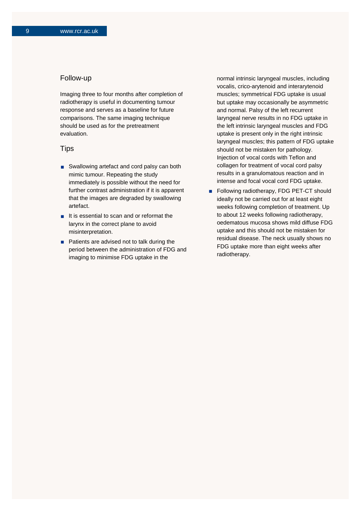### Follow-up

Imaging three to four months after completion of radiotherapy is useful in documenting tumour response and serves as a baseline for future comparisons. The same imaging technique should be used as for the pretreatment evaluation.

### **Tips**

- Swallowing artefact and cord palsy can both mimic tumour. Repeating the study immediately is possible without the need for further contrast administration if it is apparent that the images are degraded by swallowing artefact.
- $\blacksquare$  It is essential to scan and or reformat the larynx in the correct plane to avoid misinterpretation.
- Patients are advised not to talk during the period between the administration of FDG and imaging to minimise FDG uptake in the

normal intrinsic laryngeal muscles, including vocalis, crico-arytenoid and interarytenoid muscles; symmetrical FDG uptake is usual but uptake may occasionally be asymmetric and normal. Palsy of the left recurrent laryngeal nerve results in no FDG uptake in the left intrinsic laryngeal muscles and FDG uptake is present only in the right intrinsic laryngeal muscles; this pattern of FDG uptake should not be mistaken for pathology. Injection of vocal cords with Teflon and collagen for treatment of vocal cord palsy results in a granulomatous reaction and in intense and focal vocal cord FDG uptake.

Following radiotherapy, FDG PET-CT should ideally not be carried out for at least eight weeks following completion of treatment. Up to about 12 weeks following radiotherapy, oedematous mucosa shows mild diffuse FDG uptake and this should not be mistaken for residual disease. The neck usually shows no FDG uptake more than eight weeks after radiotherapy.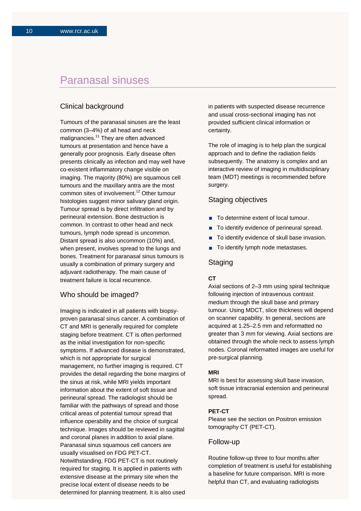## Paranasal sinuses

## Clinical background

Tumours of the paranasal sinuses are the least common (3–4%) of all head and neck malignancies.<sup>11</sup> They are often advanced tumours at presentation and hence have a generally poor prognosis. Early disease often presents clinically as infection and may well have co-existent inflammatory change visible on imaging. The majority (80%) are squamous cell tumours and the maxillary antra are the most common sites of involvement.<sup>12</sup> Other tumour histologies suggest minor salivary gland origin. Tumour spread is by direct infiltration and by perineural extension. Bone destruction is common. In contrast to other head and neck tumours, lymph node spread is uncommon. Distant spread is also uncommon (10%) and, when present, involves spread to the lungs and bones. Treatment for paranasal sinus tumours is usually a combination of primary surgery and adjuvant radiotherapy. The main cause of treatment failure is local recurrence.

### Who should be imaged?

Imaging is indicated in all patients with biopsyproven paranasal sinus cancer. A combination of CT and MRI is generally required for complete staging before treatment. CT is often performed as the initial investigation for non-specific symptoms. If advanced disease is demonstrated, which is not appropriate for surgical management, no further imaging is required. CT provides the detail regarding the bone margins of the sinus at risk, while MRI yields important information about the extent of soft tissue and perineural spread. The radiologist should be familiar with the pathways of spread and those critical areas of potential tumour spread that influence operability and the choice of surgical technique. Images should be reviewed in sagittal and coronal planes in addition to axial plane. Paranasal sinus squamous cell cancers are usually visualised on FDG PET-CT. Notwithstanding, FDG PET-CT is not routinely required for staging. It is applied in patients with extensive disease at the primary site when the precise local extent of disease needs to be determined for planning treatment. It is also used in patients with suspected disease recurrence and usual cross-sectional imaging has not provided sufficient clinical information or certainty.

The role of imaging is to help plan the surgical approach and to define the radiation fields subsequently. The anatomy is complex and an interactive review of imaging in multidisciplinary team (MDT) meetings is recommended before surgery.

## Staging objectives

- To determine extent of local tumour.
- To identify evidence of perineural spread.
- To identify evidence of skull base invasion.
- To identify lymph node metastases.

## **Staging**

#### **CT**

Axial sections of 2–3 mm using spiral technique following injection of intravenous contrast medium through the skull base and primary tumour. Using MDCT, slice thickness will depend on scanner capability. In general, sections are acquired at 1.25–2.5 mm and reformatted no greater than 3 mm for viewing. Axial sections are obtained through the whole neck to assess lymph nodes. Coronal reformatted images are useful for pre-surgical planning.

#### **MRI**

MRI is best for assessing skull base invasion, soft tissue intracranial extension and perineural spread.

#### **PET-CT**

Please see the section on Positron emission tomography CT (PET-CT).

#### Follow-up

Routine follow-up three to four months after completion of treatment is useful for establishing a baseline for future comparison. MRI is more helpful than CT, and evaluating radiologists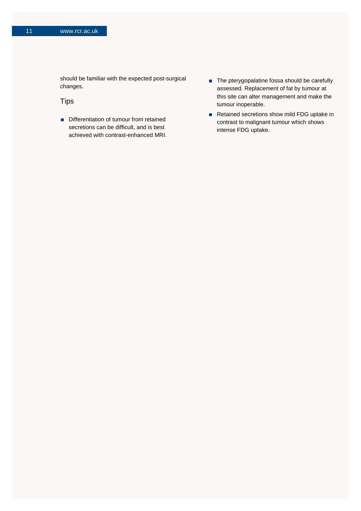should be familiar with the expected post-surgical changes.

## **Tips**

- Differentiation of tumour from retained secretions can be difficult, and is best achieved with contrast-enhanced MRI.
- The pterygopalatine fossa should be carefully assessed. Replacement of fat by tumour at this site can alter management and make the tumour inoperable.
- Retained secretions show mild FDG uptake in contrast to malignant tumour which shows intense FDG uptake.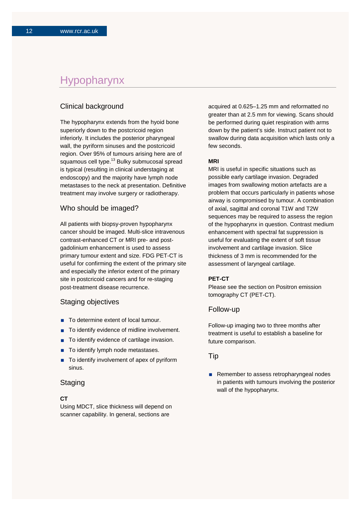## Hypopharynx

## Clinical background

The hypopharynx extends from the hyoid bone superiorly down to the postcricoid region inferiorly. It includes the posterior pharyngeal wall, the pyriform sinuses and the postcricoid region. Over 95% of tumours arising here are of squamous cell type.<sup>13</sup> Bulky submucosal spread is typical (resulting in clinical understaging at endoscopy) and the majority have lymph node metastases to the neck at presentation. Definitive treatment may involve surgery or radiotherapy.

## Who should be imaged?

All patients with biopsy-proven hypopharynx cancer should be imaged. Multi-slice intravenous contrast-enhanced CT or MRI pre- and postgadolinium enhancement is used to assess primary tumour extent and size. FDG PET-CT is useful for confirming the extent of the primary site and especially the inferior extent of the primary site in postcricoid cancers and for re-staging post-treatment disease recurrence.

## Staging objectives

- To determine extent of local tumour.
- To identify evidence of midline involvement.
- To identify evidence of cartilage invasion.
- To identify lymph node metastases.
- To identify involvement of apex of pyriform sinus.

#### **Staging**

#### **CT**

Using MDCT, slice thickness will depend on scanner capability. In general, sections are

acquired at 0.625–1.25 mm and reformatted no greater than at 2.5 mm for viewing. Scans should be performed during quiet respiration with arms down by the patient's side. Instruct patient not to swallow during data acquisition which lasts only a few seconds.

#### **MRI**

MRI is useful in specific situations such as possible early cartilage invasion. Degraded images from swallowing motion artefacts are a problem that occurs particularly in patients whose airway is compromised by tumour. A combination of axial, sagittal and coronal T1W and T2W sequences may be required to assess the region of the hypopharynx in question. Contrast medium enhancement with spectral fat suppression is useful for evaluating the extent of soft tissue involvement and cartilage invasion. Slice thickness of 3 mm is recommended for the assessment of laryngeal cartilage.

#### **PET-CT**

Please see the section on Positron emission tomography CT (PET-CT).

#### Follow-up

Follow-up imaging two to three months after treatment is useful to establish a baseline for future comparison.

### Tip

Remember to assess retropharyngeal nodes in patients with tumours involving the posterior wall of the hypopharynx.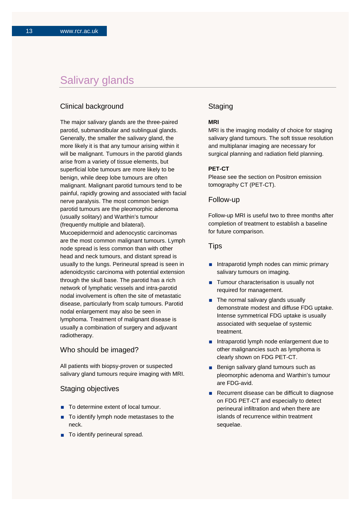## Salivary glands

## Clinical background

The major salivary glands are the three-paired parotid, submandibular and sublingual glands. Generally, the smaller the salivary gland, the more likely it is that any tumour arising within it will be malignant. Tumours in the parotid glands arise from a variety of tissue elements, but superficial lobe tumours are more likely to be benign, while deep lobe tumours are often malignant. Malignant parotid tumours tend to be painful, rapidly growing and associated with facial nerve paralysis. The most common benign parotid tumours are the pleomorphic adenoma (usually solitary) and Warthin's tumour (frequently multiple and bilateral). Mucoepidermoid and adenocystic carcinomas are the most common malignant tumours. Lymph node spread is less common than with other head and neck tumours, and distant spread is usually to the lungs. Perineural spread is seen in adenoidcystic carcinoma with potential extension through the skull base. The parotid has a rich network of lymphatic vessels and intra-parotid nodal involvement is often the site of metastatic disease, particularly from scalp tumours. Parotid nodal enlargement may also be seen in lymphoma. Treatment of malignant disease is usually a combination of surgery and adjuvant radiotherapy.

### Who should be imaged?

All patients with biopsy-proven or suspected salivary gland tumours require imaging with MRI.

#### Staging objectives

- To determine extent of local tumour.
- To identify lymph node metastases to the neck.
- To identify perineural spread.

## **Staging**

## **MRI**

MRI is the imaging modality of choice for staging salivary gland tumours. The soft tissue resolution and multiplanar imaging are necessary for surgical planning and radiation field planning.

#### **PET-CT**

Please see the section on Positron emission tomography CT (PET-CT).

#### Follow-up

Follow-up MRI is useful two to three months after completion of treatment to establish a baseline for future comparison.

#### Tips

- Intraparotid lymph nodes can mimic primary salivary tumours on imaging.
- **Tumour characterisation is usually not** required for management.
- $\blacksquare$  The normal salivary glands usually demonstrate modest and diffuse FDG uptake. Intense symmetrical FDG uptake is usually associated with sequelae of systemic treatment.
- Intraparotid lymph node enlargement due to other malignancies such as lymphoma is clearly shown on FDG PET-CT.
- Benign salivary gland tumours such as pleomorphic adenoma and Warthin's tumour are FDG-avid.
- Recurrent disease can be difficult to diagnose on FDG PET-CT and especially to detect perineural infiltration and when there are islands of recurrence within treatment sequelae.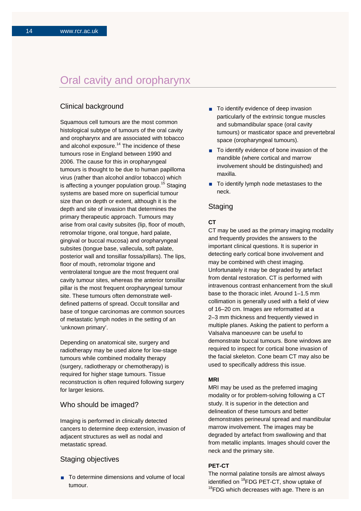## Oral cavity and oropharynx

## Clinical background

Squamous cell tumours are the most common histological subtype of tumours of the oral cavity and oropharynx and are associated with tobacco and alcohol exposure. $14$  The incidence of these tumours rose in England between 1990 and 2006. The cause for this in oropharyngeal tumours is thought to be due to human papilloma virus (rather than alcohol and/or tobacco) which is affecting a younger population group.<sup>15</sup> Staging systems are based more on superficial tumour size than on depth or extent, although it is the depth and site of invasion that determines the primary therapeutic approach. Tumours may arise from oral cavity subsites (lip, floor of mouth, retromolar trigone, oral tongue, hard palate, gingival or buccal mucosa) and oropharyngeal subsites (tongue base, vallecula, soft palate, posterior wall and tonsillar fossa/pillars). The lips, floor of mouth, retromolar trigone and ventrolateral tongue are the most frequent oral cavity tumour sites, whereas the anterior tonsillar pillar is the most frequent oropharyngeal tumour site. These tumours often demonstrate welldefined patterns of spread. Occult tonsillar and base of tongue carcinomas are common sources of metastatic lymph nodes in the setting of an 'unknown primary'.

Depending on anatomical site, surgery and radiotherapy may be used alone for low-stage tumours while combined modality therapy (surgery, radiotherapy or chemotherapy) is required for higher stage tumours. Tissue reconstruction is often required following surgery for larger lesions.

## Who should be imaged?

Imaging is performed in clinically detected cancers to determine deep extension, invasion of adjacent structures as well as nodal and metastatic spread.

#### Staging objectives

■ To determine dimensions and volume of local tumour.

- To identify evidence of deep invasion particularly of the extrinsic tongue muscles and submandibular space (oral cavity tumours) or masticator space and prevertebral space (oropharyngeal tumours).
- To identify evidence of bone invasion of the mandible (where cortical and marrow involvement should be distinguished) and maxilla.
- To identify lymph node metastases to the neck.

### Staging

#### **CT**

CT may be used as the primary imaging modality and frequently provides the answers to the important clinical questions. It is superior in detecting early cortical bone involvement and may be combined with chest imaging. Unfortunately it may be degraded by artefact from dental restoration. CT is performed with intravenous contrast enhancement from the skull base to the thoracic inlet. Around 1–1.5 mm collimation is generally used with a field of view of 16–20 cm. Images are reformatted at a 2–3 mm thickness and frequently viewed in multiple planes. Asking the patient to perform a Valsalva manoeuvre can be useful to demonstrate buccal tumours. Bone windows are required to inspect for cortical bone invasion of the facial skeleton. Cone beam CT may also be used to specifically address this issue.

#### **MRI**

MRI may be used as the preferred imaging modality or for problem-solving following a CT study. It is superior in the detection and delineation of these tumours and better demonstrates perineural spread and mandibular marrow involvement. The images may be degraded by artefact from swallowing and that from metallic implants. Images should cover the neck and the primary site.

## **PET-CT**

The normal palatine tonsils are almost always identified on  ${}^{18}$ FDG PET-CT, show uptake of  ${}^{18}$ FDG which decreases with age. There is an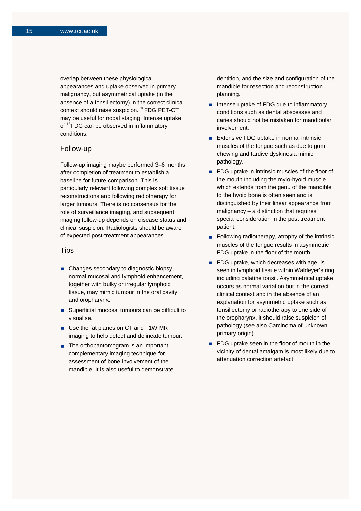overlap between these physiological appearances and uptake observed in primary malignancy, but asymmetrical uptake (in the absence of a tonsillectomy) in the correct clinical context should raise suspicion. <sup>18</sup>FDG PET-CT may be useful for nodal staging. Intense uptake of <sup>18</sup>FDG can be observed in inflammatory conditions.

### Follow-up

Follow-up imaging maybe performed 3–6 months after completion of treatment to establish a baseline for future comparison. This is particularly relevant following complex soft tissue reconstructions and following radiotherapy for larger tumours. There is no consensus for the role of surveillance imaging, and subsequent imaging follow-up depends on disease status and clinical suspicion. Radiologists should be aware of expected post-treatment appearances.

#### **Tips**

- Changes secondary to diagnostic biopsy, normal mucosal and lymphoid enhancement, together with bulky or irregular lymphoid tissue, may mimic tumour in the oral cavity and oropharynx.
- Superficial mucosal tumours can be difficult to visualise.
- Use the fat planes on CT and T1W MR imaging to help detect and delineate tumour.
- $\blacksquare$  The orthopantomogram is an important complementary imaging technique for assessment of bone involvement of the mandible. It is also useful to demonstrate

dentition, and the size and configuration of the mandible for resection and reconstruction planning.

- Intense uptake of FDG due to inflammatory conditions such as dental abscesses and caries should not be mistaken for mandibular involvement.
- **Extensive FDG uptake in normal intrinsic** muscles of the tongue such as due to gum chewing and tardive dyskinesia mimic pathology.
- **FDG** uptake in intrinsic muscles of the floor of the mouth including the mylo-hyoid muscle which extends from the genu of the mandible to the hyoid bone is often seen and is distinguished by their linear appearance from malignancy – a distinction that requires special consideration in the post treatment patient.
- Following radiotherapy, atrophy of the intrinsic muscles of the tongue results in asymmetric FDG uptake in the floor of the mouth.
- **FDG** uptake, which decreases with age, is seen in lymphoid tissue within Waldeyer's ring including palatine tonsil. Asymmetrical uptake occurs as normal variation but in the correct clinical context and in the absence of an explanation for asymmetric uptake such as tonsillectomy or radiotherapy to one side of the oropharynx, it should raise suspicion of pathology (see also Carcinoma of unknown primary origin).
- **FDG** uptake seen in the floor of mouth in the vicinity of dental amalgam is most likely due to attenuation correction artefact.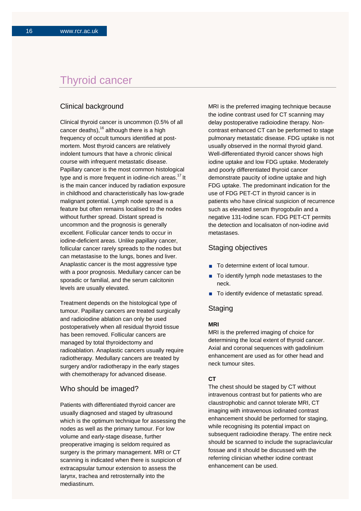## Thyroid cancer

## Clinical background

Clinical thyroid cancer is uncommon (0.5% of all cancer deaths), $16$  although there is a high frequency of occult tumours identified at postmortem. Most thyroid cancers are relatively indolent tumours that have a chronic clinical course with infrequent metastatic disease. Papillary cancer is the most common histological type and is more frequent in iodine-rich areas. $17$  It is the main cancer induced by radiation exposure in childhood and characteristically has low-grade malignant potential. Lymph node spread is a feature but often remains localised to the nodes without further spread. Distant spread is uncommon and the prognosis is generally excellent. Follicular cancer tends to occur in iodine-deficient areas. Unlike papillary cancer, follicular cancer rarely spreads to the nodes but can metastasise to the lungs, bones and liver. Anaplastic cancer is the most aggressive type with a poor prognosis. Medullary cancer can be sporadic or familial, and the serum calcitonin levels are usually elevated.

Treatment depends on the histological type of tumour. Papillary cancers are treated surgically and radioiodine ablation can only be used postoperatively when all residual thyroid tissue has been removed. Follicular cancers are managed by total thyroidectomy and radioablation. Anaplastic cancers usually require radiotherapy. Medullary cancers are treated by surgery and/or radiotherapy in the early stages with chemotherapy for advanced disease.

#### Who should be imaged?

Patients with differentiated thyroid cancer are usually diagnosed and staged by ultrasound which is the optimum technique for assessing the nodes as well as the primary tumour. For low volume and early-stage disease, further preoperative imaging is seldom required as surgery is the primary management. MRI or CT scanning is indicated when there is suspicion of extracapsular tumour extension to assess the larynx, trachea and retrosternally into the mediastinum.

MRI is the preferred imaging technique because the iodine contrast used for CT scanning may delay postoperative radioiodine therapy. Noncontrast enhanced CT can be performed to stage pulmonary metastatic disease. FDG uptake is not usually observed in the normal thyroid gland. Well-differentiated thyroid cancer shows high iodine uptake and low FDG uptake. Moderately and poorly differentiated thyroid cancer demonstrate paucity of iodine uptake and high FDG uptake. The predominant indication for the use of FDG PET-CT in thyroid cancer is in patients who have clinical suspicion of recurrence such as elevated serum thyrogobulin and a negative 131-Iodine scan. FDG PET-CT permits the detection and localisaton of non-iodine avid metastases.

### Staging objectives

- To determine extent of local tumour.
- To identify lymph node metastases to the neck.
- To identify evidence of metastatic spread.

## **Staging**

#### **MRI**

MRI is the preferred imaging of choice for determining the local extent of thyroid cancer. Axial and coronal sequences with gadolinium enhancement are used as for other head and neck tumour sites.

#### **CT**

The chest should be staged by CT without intravenous contrast but for patients who are claustrophobic and cannot tolerate MRI, CT imaging with intravenous iodinated contrast enhancement should be performed for staging, while recognising its potential impact on subsequent radioiodine therapy. The entire neck should be scanned to include the supraclavicular fossae and it should be discussed with the referring clinician whether iodine contrast enhancement can be used.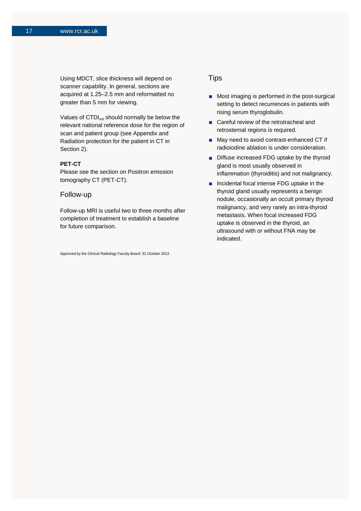Using MDCT, slice thickness will depend on scanner capability. In general, sections are acquired at 1.25–2.5 mm and reformatted no greater than 5 mm for viewing.

Values of CTDI<sub>vol</sub> should normally be below the relevant national reference dose for the region of scan and patient group (see Appendix and Radiation protection for the patient in CT in Section 2).

#### **PET-CT**

Please see the section on Positron emission tomography CT (PET-CT).

#### Follow-up

Follow-up MRI is useful two to three months after completion of treatment to establish a baseline for future comparison.

Approved by the Clinical Radiology Faculty Board: 31 October 2013

### **Tips**

- **Most imaging is performed in the post-surgical** setting to detect recurrences in patients with rising serum thyroglobulin.
- Careful review of the retrotracheal and retrosternal regions is required.
- May need to avoid contrast-enhanced CT if radioiodine ablation is under consideration.
- Diffuse increased FDG uptake by the thyroid gland is most usually observed in inflammation (thyroiditis) and not malignancy.
- **n** Incidental focal intense FDG uptake in the thyroid gland usually represents a benign nodule, occasionally an occult primary thyroid malignancy, and very rarely an intra-thyroid metastasis. When focal increased FDG uptake is observed in the thyroid, an ultrasound with or without FNA may be indicated.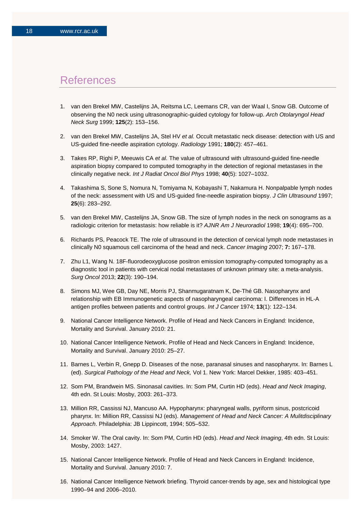## References

- 1. van den Brekel MW, Castelijns JA, Reitsma LC, Leemans CR, van der Waal I, Snow GB. Outcome of observing the N0 neck using ultrasonographic-guided cytology for follow-up. *Arch Otolaryngol Head Neck Surg* 1999; **125**(2): 153–156.
- 2. van den Brekel MW, Castelijns JA, Stel HV *et al.* Occult metastatic neck disease: detection with US and US-guided fine-needle aspiration cytology. *Radiology* 1991; **180**(2): 457–461.
- 3. Takes RP, Righi P, Meeuwis CA *et al.* The value of ultrasound with ultrasound-guided fine-needle aspiration biopsy compared to computed tomography in the detection of regional metastases in the clinically negative neck. *Int J Radiat Oncol Biol Phys* 1998; **40**(5): 1027–1032.
- 4. Takashima S, Sone S, Nomura N, Tomiyama N, Kobayashi T, Nakamura H. Nonpalpable lymph nodes of the neck: assessment with US and US-guided fine-needle aspiration biopsy. *J Clin Ultrasound* 1997; **25**(6): 283–292.
- 5. van den Brekel MW, Castelijns JA, Snow GB. The size of lymph nodes in the neck on sonograms as a radiologic criterion for metastasis: how reliable is it? *AJNR Am J Neuroradiol* 1998; **19**(4): 695–700.
- 6. Richards PS, Peacock TE. The role of ultrasound in the detection of cervical lymph node metastases in clinically N0 squamous cell carcinoma of the head and neck. *Cancer Imaging* 2007; **7:** 167–178.
- 7. Zhu L1, Wang N. 18F-fluorodeoxyglucose positron emission tomography-computed tomography as a diagnostic tool in patients with cervical nodal metastases of unknown primary site: a meta-analysis. *Surg Oncol* 2013; **22**(3): 190–194.
- 8. Simons MJ, Wee GB, Day NE, Morris PJ, Shanmugaratnam K, De-Thé GB. Nasopharynx and relationship with EB Immunogenetic aspects of nasopharyngeal carcinoma: I. Differences in HL-A antigen profiles between patients and control groups. *Int J Cancer* 1974; **13**(1): 122–134.
- 9. National Cancer Intelligence Network. Profile of Head and Neck Cancers in England: Incidence, Mortality and Survival. January 2010: 21.
- 10. National Cancer Intelligence Network. Profile of Head and Neck Cancers in England: Incidence, Mortality and Survival. January 2010: 25–27.
- 11. Barnes L, Verbin R, Gnepp D. Diseases of the nose, paranasal sinuses and nasopharynx. In: Barnes L (ed). *Surgical Pathology of the Head and Neck,* Vol 1. New York: Marcel Dekker, 1985: 403–451.
- 12. Som PM, Brandwein MS. Sinonasal cavities. In: Som PM, Curtin HD (eds). *Head and Neck Imaging*, 4th edn. St Louis: Mosby, 2003: 261–373.
- 13. Million RR, Cassissi NJ, Mancuso AA. Hypopharynx: pharyngeal walls, pyriform sinus, postcricoid pharynx. In: Million RR, Cassissi NJ (eds). *Management of Head and Neck Cancer: A Mulitdisciplinary Approach*. Philadelphia: JB Lippincott, 1994; 505–532.
- 14. Smoker W. The Oral cavity. In: Som PM, Curtin HD (eds). *Head and Neck Imaging*, 4th edn. St Louis: Mosby, 2003: 1427.
- 15. National Cancer Intelligence Network. Profile of Head and Neck Cancers in England: Incidence, Mortality and Survival. January 2010: 7.
- 16. National Cancer Intelligence Network briefing. Thyroid cancer-trends by age, sex and histological type 1990–94 and 2006–2010.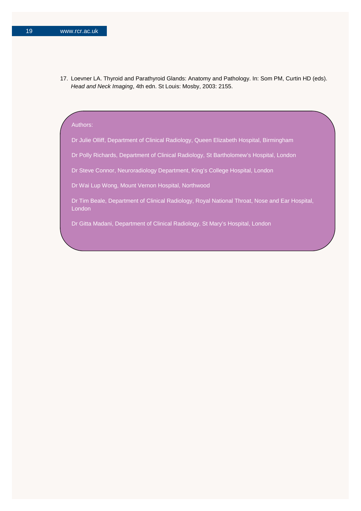17. Loevner LA. Thyroid and Parathyroid Glands: Anatomy and Pathology. In: Som PM, Curtin HD (eds). *Head and Neck Imaging*, 4th edn. St Louis: Mosby, 2003: 2155.

#### Authors:

Dr Julie Olliff, Department of Clinical Radiology, Queen Elizabeth Hospital, Birmingham

Dr Polly Richards, Department of Clinical Radiology, St Bartholomew's Hospital, London

Dr Steve Connor, Neuroradiology Department, King's College Hospital, London

Dr Wai Lup Wong, Mount Vernon Hospital, Northwood

Dr Tim Beale, Department of Clinical Radiology, Royal National Throat, Nose and Ear Hospital, London

Dr Gitta Madani, Department of Clinical Radiology, St Mary's Hospital, London